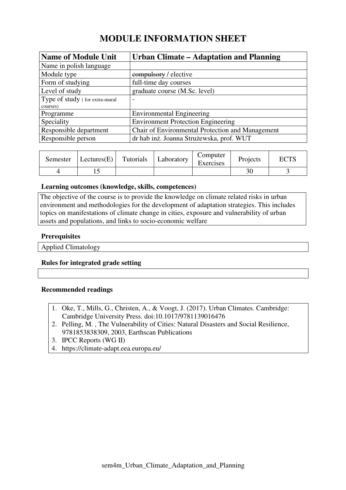# **MODULE INFORMATION SHEET**

| <b>Name of Module Unit</b>     | <b>Urban Climate - Adaptation and Planning</b>   |
|--------------------------------|--------------------------------------------------|
| Name in polish language        |                                                  |
| Module type                    | compulsory / elective                            |
| Form of studying               | full-time day courses                            |
| Level of study                 | graduate course (M.Sc. level)                    |
| Type of study (for extra-mural | $\overline{\phantom{0}}$                         |
| courses)                       |                                                  |
| Programme                      | <b>Environmental Engineering</b>                 |
| Speciality                     | <b>Environment Protection Engineering</b>        |
| Responsible department         | Chair of Environmental Protection and Management |
| Responsible person             | dr hab inż. Joanna Strużewska, prof. WUT         |

| Semester | Lectures(E) | Tutorials | Laboratory | Computer<br>Exercises | Projects | $\Gamma\cap$ TC<br>EU 15 |
|----------|-------------|-----------|------------|-----------------------|----------|--------------------------|
|          |             |           |            |                       |          |                          |

#### **Learning outcomes (knowledge, skills, competences)**

The objective of the course is to provide the knowledge on climate related risks in urban environment and methodologies for the development of adaptation strategies. This includes topics on manifestations of climate change in cities, exposure and vulnerability of urban assets and populations, and links to socio-economic welfare

### **Prerequisites**

Applied Climatology

## **Rules for integrated grade setting**

## **Recommended readings**

- 1. Oke, T., Mills, G., Christen, A., & Voogt, J. (2017). Urban Climates. Cambridge: Cambridge University Press. doi:10.1017/9781139016476
- 2. Pelling, M. , The Vulnerability of Cities: Natural Disasters and Social Resilience, 9781853838309, 2003, Earthscan Publications
- 3. IPCC Reports (WG II)
- 4. https://climate-adapt.eea.europa.eu/